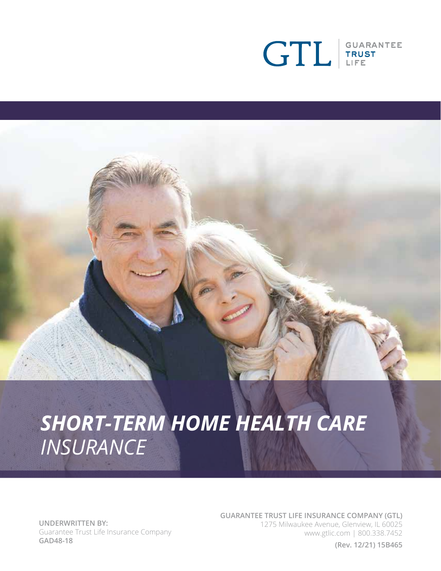

# *SHORT-TERM HOME HEALTH CARE INSURANCE*

**UNDERWRITTEN BY:** Guarantee Trust Life Insurance Company **GAD48-18**

**GUARANTEE TRUST LIFE INSURANCE COMPANY (GTL)** 1275 Milwaukee Avenue, Glenview, IL 60025 www.gtlic.com | 800.338.7452

**(Rev. 12/21) 15B465**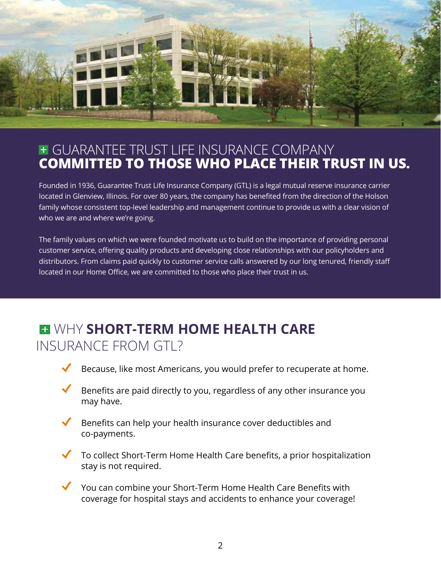

## GUARANTEE TRUST LIFE INSURANCE COMPANY **COMMITTED TO THOSE WHO PLACE THEIR TRUST IN US.**

Founded in 1936, Guarantee Trust Life Insurance Company (GTL) is a legal mutual reserve insurance carrier located in Glenview, Illinois. For over 80 years, the company has benefited from the direction of the Holson family whose consistent top-level leadership and management continue to provide us with a clear vision of who we are and where we're going.

The family values on which we were founded motivate us to build on the importance of providing personal customer service, offering quality products and developing close relationships with our policyholders and distributors. From claims paid quickly to customer service calls answered by our long tenured, friendly staff located in our Home Office, we are committed to those who place their trust in us.

## WHY **SHORT-TERM HOME HEALTH CARE**  INSURANCE FROM GTL?

- Because, like most Americans, you would prefer to recuperate at home.
- Benefits are paid directly to you, regardless of any other insurance you may have.
- Benefits can help your health insurance cover deductibles and co-payments.
- To collect Short-Term Home Health Care benefits, a prior hospitalization stay is not required.
- You can combine your Short-Term Home Health Care Benefits with coverage for hospital stays and accidents to enhance your coverage!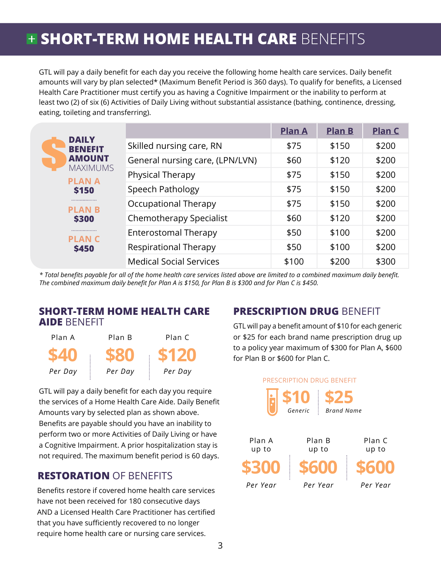## **<b>+ SHORT-TERM HOME HEALTH CARE** BENEFITS

GTL will pay a daily benefit for each day you receive the following home health care services. Daily benefit amounts will vary by plan selected\* (Maximum Benefit Period is 360 days). To qualify for benefits, a Licensed Health Care Practitioner must certify you as having a Cognitive Impairment or the inability to perform at least two (2) of six (6) Activities of Daily Living without substantial assistance (bathing, continence, dressing, eating, toileting and transferring).

| <b>DAILY</b><br><b>BENEFIT</b><br><b>AMOUNT</b><br><b>MAXIMUMS</b><br><b>PLAN A</b><br><b>S150</b><br><br><b>PLAN B</b><br><b>\$300</b><br><br><b>PLANC</b><br><b>\$450</b> |                                 | <b>Plan A</b> | <b>Plan B</b> | <b>Plan C</b> |
|-----------------------------------------------------------------------------------------------------------------------------------------------------------------------------|---------------------------------|---------------|---------------|---------------|
|                                                                                                                                                                             | Skilled nursing care, RN        | \$75          | \$150         | \$200         |
|                                                                                                                                                                             | General nursing care, (LPN/LVN) | \$60          | \$120         | \$200         |
|                                                                                                                                                                             | Physical Therapy                | \$75          | \$150         | \$200         |
|                                                                                                                                                                             | Speech Pathology                | \$75          | \$150         | \$200         |
|                                                                                                                                                                             | Occupational Therapy            | \$75          | \$150         | \$200         |
|                                                                                                                                                                             | Chemotherapy Specialist         | \$60          | \$120         | \$200         |
|                                                                                                                                                                             | Enterostomal Therapy            | \$50          | \$100         | \$200         |
|                                                                                                                                                                             | Respirational Therapy           | \$50          | \$100         | \$200         |
|                                                                                                                                                                             | <b>Medical Social Services</b>  | \$100         | \$200         | \$300         |

*\* Total benefits payable for all of the home health care services listed above are limited to a combined maximum daily benefit. The combined maximum daily benefit for Plan A is \$150, for Plan B is \$300 and for Plan C is \$450.* 

#### **SHORT-TERM HOME HEALTH CARE PRESCRIPTION DRUG** BENEFIT **AIDE** BENEFIT



GTL will pay a daily benefit for each day you require the services of a Home Health Care Aide. Daily Benefit Amounts vary by selected plan as shown above. Benefits are payable should you have an inability to perform two or more Activities of Daily Living or have a Cognitive Impairment. A prior hospitalization stay is not required. The maximum benefit period is 60 days.

### **RESTORATION** OF BENEFITS

Benefits restore if covered home health care services have not been received for 180 consecutive days AND a Licensed Health Care Practitioner has certified that you have sufficiently recovered to no longer require home health care or nursing care services.

GTL will pay a benefit amount of \$10 for each generic or \$25 for each brand name prescription drug up to a policy year maximum of \$300 for Plan A, \$600 for Plan B or \$600 for Plan C.

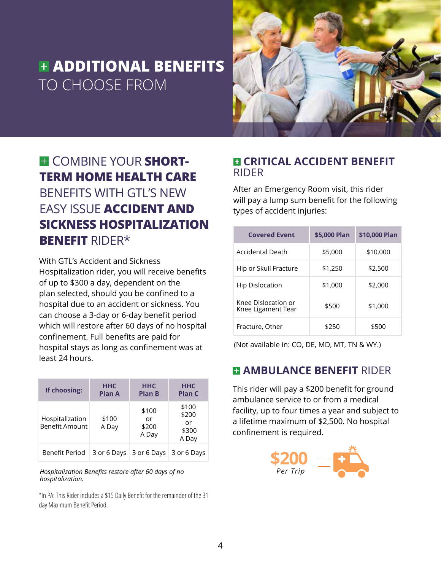## **ADDITIONAL BENEFITS**  TO CHOOSE FROM



## **E** COMBINE YOUR **SHORT-TERM HOME HEALTH CARE**  BENEFITS WITH GTL'S NEW EASY ISSUE **ACCIDENT AND SICKNESS HOSPITALIZATION BENEFIT** RIDER\*

With GTL's Accident and Sickness Hospitalization rider, you will receive benefits of up to \$300 a day, dependent on the plan selected, should you be confined to a hospital due to an accident or sickness. You can choose a 3-day or 6-day benefit period which will restore after 60 days of no hospital confinement. Full benefits are paid for hospital stays as long as confinement was at least 24 hours.

| If choosing:                      | <b>HHC</b><br><b>Plan A</b> | <b>HHC</b><br><b>Plan B</b>   | ннс<br><b>Plan C</b>                   |
|-----------------------------------|-----------------------------|-------------------------------|----------------------------------------|
| Hospitalization<br>Benefit Amount | \$100<br>A Day              | \$100<br>or<br>\$200<br>A Day | \$100<br>\$200<br>or<br>\$300<br>A Day |
| Benefit Period                    | 3 or 6 Days                 | 3 or 6 Days                   | 3 or 6 Days                            |

*Hospitalization Benefits restore after 60 days of no hospitalization.*

\*In PA: This Rider includes a \$15 Daily Benefit for the remainder of the 31 day Maximum Benefit Period.

#### **E CRITICAL ACCIDENT BENEFIT** RIDER

After an Emergency Room visit, this rider will pay a lump sum benefit for the following types of accident injuries:

| <b>Covered Event</b>                      | \$5,000 Plan | \$10,000 Plan |  |
|-------------------------------------------|--------------|---------------|--|
| Accidental Death                          | \$5,000      | \$10,000      |  |
| Hip or Skull Fracture                     | \$1,250      | \$2,500       |  |
| <b>Hip Dislocation</b>                    | \$1,000      | \$2,000       |  |
| Knee Dislocation or<br>Knee Ligament Tear | \$500        | \$1,000       |  |
| Fracture, Other                           | \$250        | \$500         |  |

(Not available in: CO, DE, MD, MT, TN & WY.)

## **E AMBULANCE BENEFIT RIDER**

This rider will pay a \$200 benefit for ground ambulance service to or from a medical facility, up to four times a year and subject to a lifetime maximum of \$2,500. No hospital confinement is required.

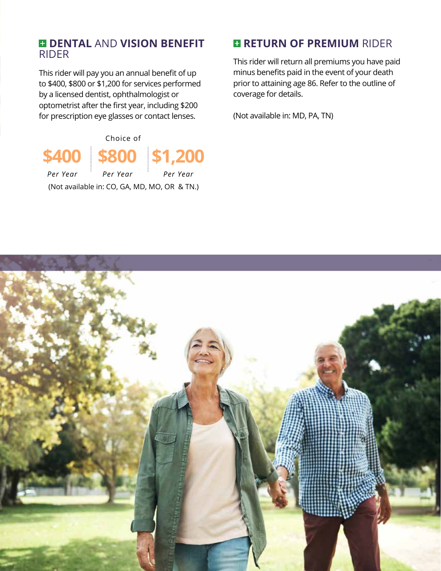#### **DENTAL** AND **VISION BENEFIT** RIDER

This rider will pay you an annual benefit of up to \$400, \$800 or \$1,200 for services performed by a licensed dentist, ophthalmologist or optometrist after the first year, including \$200 for prescription eye glasses or contact lenses.



## **RETURN OF PREMIUM RIDER**

This rider will return all premiums you have paid minus benefits paid in the event of your death prior to attaining age 86. Refer to the outline of coverage for details.

(Not available in: MD, PA, TN)